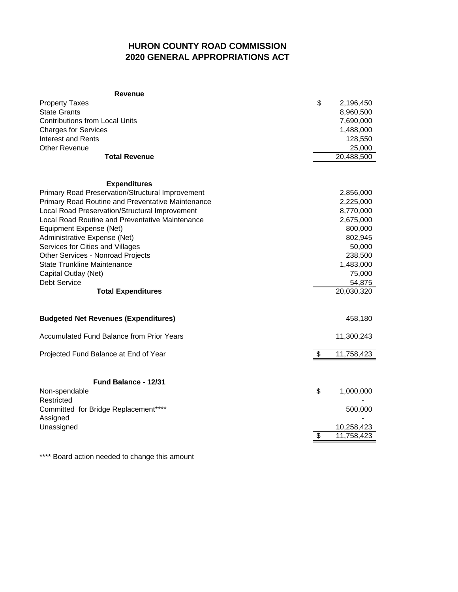# **HURON COUNTY ROAD COMMISSION 2020 GENERAL APPROPRIATIONS ACT**

#### **Revenue**

| <b>Property Taxes</b>                             | \$<br>2,196,450  |
|---------------------------------------------------|------------------|
| <b>State Grants</b>                               | 8,960,500        |
| <b>Contributions from Local Units</b>             | 7,690,000        |
| <b>Charges for Services</b>                       | 1,488,000        |
| <b>Interest and Rents</b>                         | 128,550          |
| <b>Other Revenue</b>                              | 25,000           |
| <b>Total Revenue</b>                              | 20,488,500       |
| <b>Expenditures</b>                               |                  |
| Primary Road Preservation/Structural Improvement  | 2,856,000        |
| Primary Road Routine and Preventative Maintenance | 2,225,000        |
| Local Road Preservation/Structural Improvement    | 8,770,000        |
| Local Road Routine and Preventative Maintenance   | 2,675,000        |
| Equipment Expense (Net)                           | 800,000          |
| Administrative Expense (Net)                      | 802,945          |
| Services for Cities and Villages                  | 50,000           |
| Other Services - Nonroad Projects                 | 238,500          |
| <b>State Trunkline Maintenance</b>                | 1,483,000        |
| Capital Outlay (Net)                              | 75,000           |
| <b>Debt Service</b>                               | 54,875           |
| <b>Total Expenditures</b>                         | 20,030,320       |
|                                                   |                  |
| <b>Budgeted Net Revenues (Expenditures)</b>       | 458,180          |
| <b>Accumulated Fund Balance from Prior Years</b>  | 11,300,243       |
| Projected Fund Balance at End of Year             | \$<br>11,758,423 |
|                                                   |                  |
| <b>Fund Balance - 12/31</b>                       |                  |
| Non-spendable                                     | \$<br>1,000,000  |
| Restricted                                        |                  |
| Committed for Bridge Replacement****              | 500,000          |
| Assigned                                          |                  |
| Unassigned                                        | 10,258,423       |
|                                                   | \$<br>11,758,423 |

\*\*\*\* Board action needed to change this amount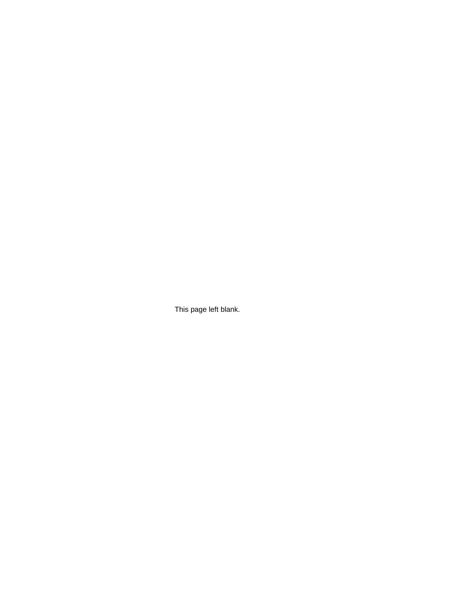This page left blank.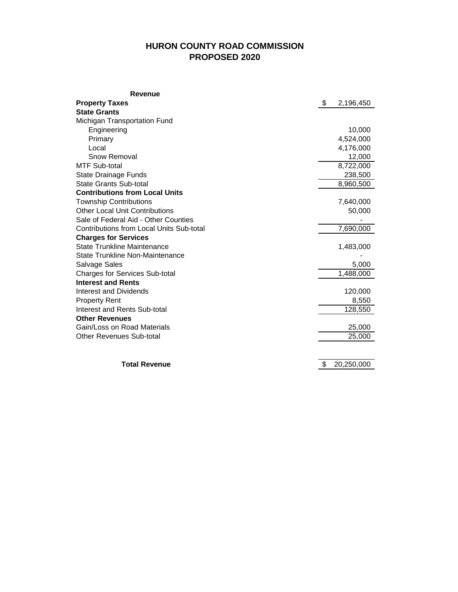## **HURON COUNTY ROAD COMMISSION PROPOSED 2020**

| <b>Revenue</b>                           |                  |
|------------------------------------------|------------------|
| <b>Property Taxes</b>                    | \$<br>2,196,450  |
| <b>State Grants</b>                      |                  |
| Michigan Transportation Fund             |                  |
| Engineering                              | 10,000           |
| Primary                                  | 4,524,000        |
| Local                                    | 4,176,000        |
| Snow Removal                             | 12,000           |
| <b>MTF Sub-total</b>                     | 8,722,000        |
| <b>State Drainage Funds</b>              | 238,500          |
| <b>State Grants Sub-total</b>            | 8,960,500        |
| <b>Contributions from Local Units</b>    |                  |
| <b>Township Contributions</b>            | 7,640,000        |
| <b>Other Local Unit Contributions</b>    | 50,000           |
| Sale of Federal Aid - Other Counties     |                  |
| Contributions from Local Units Sub-total | 7,690,000        |
| <b>Charges for Services</b>              |                  |
| <b>State Trunkline Maintenance</b>       | 1,483,000        |
| State Trunkline Non-Maintenance          |                  |
| Salvage Sales                            | 5,000            |
| <b>Charges for Services Sub-total</b>    | 1,488,000        |
| <b>Interest and Rents</b>                |                  |
| <b>Interest and Dividends</b>            | 120,000          |
| <b>Property Rent</b>                     | 8,550            |
| Interest and Rents Sub-total             | 128,550          |
| <b>Other Revenues</b>                    |                  |
| Gain/Loss on Road Materials              | 25,000           |
| <b>Other Revenues Sub-total</b>          | 25,000           |
|                                          |                  |
| <b>Total Revenue</b>                     | \$<br>20,250,000 |